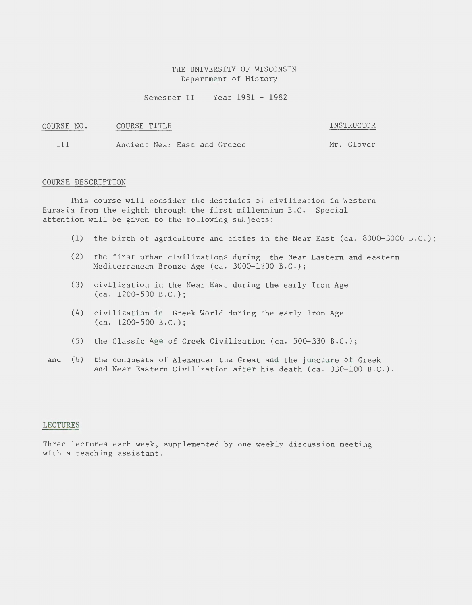# THE UNIVERSITY OF WISCONSIN Department of History

Semester II Year 1981 - 1982

# COURSE NO. COURSE TITLE **INSTRUCTOR**

111 Ancient Near East and Greece Mr. Clover

#### COURSE DESCRIPTION

This course will consider the destinies of civilization in Western Eurasia from the eighth through the first millennium B.C. Special attention will be given to the following subjects:

- (1) the birth of agriculture and cities in the Near East (ca. 8000-3000 B.C.);
- (2) the first urban civilizations during the Near Eastern and eastern Mediterranean Bronze Age (ca. 3000-1200 B.C.);
- (3) civilization in the Near East during the early Iron Age (ca. 1200-500 B.C.);
- (4) civilization in Greek World during the early Iron Age (ca. 1200-500 B.C.);
- (5) the Classic Age of Greek Civilization (ca. 500-330 B.C.);
- and (6) the conquests of Alexander the Great and the juncture of Greek and Near Eastern Civilization after his death (ca. 330-100 B.C.).

#### LECTURES

Three lectures each week, supplemented by one weekly discussion meeting with a teaching assistant.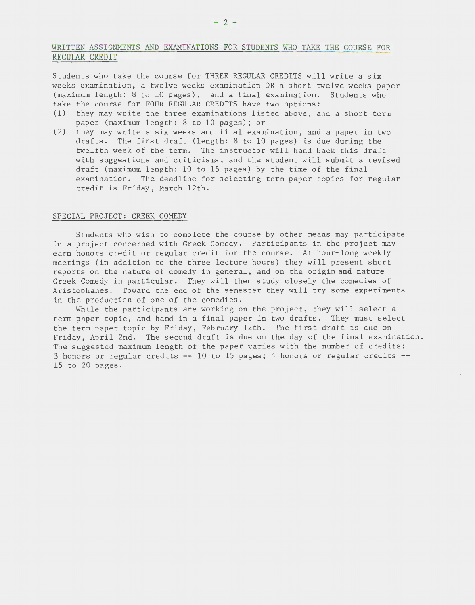# WRITTEN ASSIGNMENTS AND EXAMINATIONS FOR STUDENTS WHO TAKE THE COURSE FOR REGULAR CREDIT

Students who take the course for THREE REGULAR CREDITS will write a six weeks examination, a twelve weeks examination OR a short twelve weeks paper (maximum length: 8 to 10 pages), and a final examination. Students who take the course for FOUR REGULAR CREDITS have two options:

- (1) they may write the three examinations listed above, and a short term paper (maximum length: 8 to 10 pages); or
- (2) they may write a six weeks and final examination, and a paper in two drafts. The first draft (length: 8 to 10 pages) is due during the twelfth week of the term. The instructor will hand back this draft with suggestions and criticisms, and the student will submit a revised draft (maximum length: 10 to 15 pages) by the time of the final examination. The deadline for selecting term paper topics for regular credit is Friday, March 12th.

#### SPECIAL PROJECT: GREEK COMEDY

Students who wish to complete the course by other means may participate in a project concerned with Greek Comedy. Participants in the project may earn honors credit or regular credit for the course. At hour-long weekly meetings (in addition to the three lecture hours) they will present short reports on the nature of comedy in general, and on the originand **nature**  Greek Comedy in particular. They will then study closely the comedies of Aristophanes. Toward the end of the semester they will try some experiments in the production of one of the comedies.

While the participants are working on the project, they will select a term paper topic, and hand in a final paper in two drafts. They must select the term paper topic by Friday, February 12th. The first draft is due on Friday, April 2nd. The second draft is due on the day of the final examination. The suggested maximum length of the paper varies with the number of credits : 3 honors or regular credits -- 10 to 15 pages; 4 honors or regular credits -- 15 to 20 pages .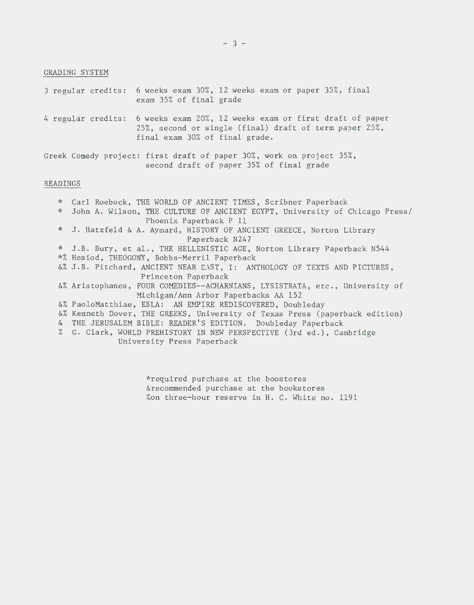GRADING SYSTEM

3 regular credits: 6 weeks exam 30%, 12 weeks exam or paper 35%, final exam 35% of final grade 4 regular credits: 6 weeks exam 20%, 12 weeks exam or first draft of paper  $25\%$ , second or single (final) draft of term paper  $25\%$ , final exam 30% of final grade.

Greek Comedy project: first draft of paper 30%, work on project 35%, second draft of paper 35% of final grade

### READINGS

\* Carl Roebock, THE WORLD OF ANCIENT TIMES, Scribner Paperback \* John A. Wilson, THE CULTURE OF ANCIENT EGYPT, University of Chicago Press/ Phoenix Paperback P 11 \* J. Hatzfeld & A. Aymard, HISTORY OF ANCIENT GREECE, Norton Library Paperback N247 \* J.B. Bury, et al., THE HELLENISTIC AGE, Norton Library Paperback N544 \*% Hesiod, THEOGONY, Bobbs-Merril Paperback &% J.B. Pitchard, ANCIENT NEAR EAST, I: ANTHOLOGY OF TEXTS AND PICTURES, Princeton Paperback &% Aristophanes, FOUR COMEDIES--ACHARNIANS, LYSISTRATA, etc., University of Michigan/Ann Arbor Paperbacks AA 152 &% PaoloMatthiae, EBLA: AN EMPIRE REDISCOVERED, Doubleday &% Kenneth Dover, THE GREEKS, University of Texas Press (paperback edition) & THE JERUSALEM BIBLE: READER'S EDITION. Doubleday Paperback % G. Clark, WORLD PREHISTORY IN NEW PERSPECTIVE (3rd ed.), Cambridge University Press Paperback

> \*required purchase at the boostores &recommended purchase at the bookstores %on three-hour reserve in H. C. White no. 1191